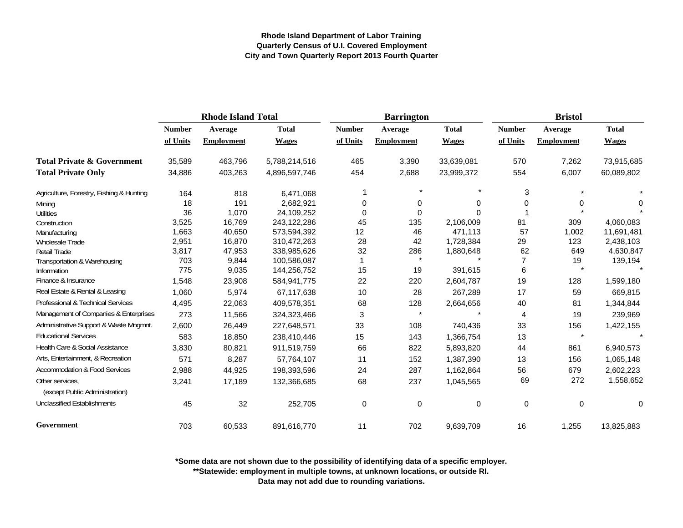|                                                   | <b>Rhode Island Total</b> |                   |               |               | <b>Barrington</b> |              | <b>Bristol</b> |                   |              |  |
|---------------------------------------------------|---------------------------|-------------------|---------------|---------------|-------------------|--------------|----------------|-------------------|--------------|--|
|                                                   | <b>Number</b>             | Average           | <b>Total</b>  | <b>Number</b> | Average           | <b>Total</b> | <b>Number</b>  | Average           | <b>Total</b> |  |
|                                                   | of Units                  | <b>Employment</b> | <b>Wages</b>  | of Units      | <b>Employment</b> | <b>Wages</b> | of Units       | <b>Employment</b> | <b>Wages</b> |  |
| <b>Total Private &amp; Government</b>             | 35,589                    | 463,796           | 5,788,214,516 | 465           | 3,390             | 33,639,081   | 570            | 7,262             | 73,915,685   |  |
| <b>Total Private Only</b>                         | 34,886                    | 403,263           | 4,896,597,746 | 454           | 2,688             | 23,999,372   | 554            | 6,007             | 60,089,802   |  |
| Agriculture, Forestry, Fishing & Hunting          | 164                       | 818               | 6,471,068     |               |                   | $\star$      | 3              |                   |              |  |
| Mining                                            | 18                        | 191               | 2,682,921     | 0             | 0                 | 0            | 0              |                   | 0            |  |
| <b>Utilities</b>                                  | 36                        | 1,070             | 24,109,252    | $\mathbf 0$   | 0                 | $\Omega$     |                |                   |              |  |
| Construction                                      | 3,525                     | 16,769            | 243,122,286   | 45            | 135               | 2,106,009    | 81             | 309               | 4,060,083    |  |
| Manufacturing                                     | 1,663                     | 40,650            | 573,594,392   | 12            | 46                | 471,113      | 57             | 1,002             | 11,691,481   |  |
| Wholesale Trade                                   | 2,951                     | 16,870            | 310,472,263   | 28            | 42                | 1,728,384    | 29             | 123               | 2,438,103    |  |
| Retail Trade                                      | 3,817                     | 47,953            | 338,985,626   | 32            | 286               | 1,880,648    | 62             | 649               | 4,630,847    |  |
| Transportation & Warehousing                      | 703                       | 9,844             | 100,586,087   |               | $\star$           |              |                | 19                | 139,194      |  |
| Information                                       | 775                       | 9,035             | 144,256,752   | 15            | 19                | 391,615      | 6              |                   |              |  |
| Finance & Insurance                               | 1,548                     | 23,908            | 584,941,775   | 22            | 220               | 2,604,787    | 19             | 128               | 1,599,180    |  |
| Real Estate & Rental & Leasing                    | 1,060                     | 5,974             | 67,117,638    | 10            | 28                | 267,289      | 17             | 59                | 669,815      |  |
| Professional & Technical Services                 | 4,495                     | 22,063            | 409,578,351   | 68            | 128               | 2,664,656    | 40             | 81                | 1,344,844    |  |
| Management of Companies & Enterprises             | 273                       | 11,566            | 324,323,466   | 3             | $\star$           |              | $\overline{4}$ | 19                | 239,969      |  |
| Administrative Support & Waste Mngmnt.            | 2,600                     | 26,449            | 227,648,571   | 33            | 108               | 740,436      | 33             | 156               | 1,422,155    |  |
| <b>Educational Services</b>                       | 583                       | 18,850            | 238,410,446   | 15            | 143               | 1,366,754    | 13             | $\star$           |              |  |
| Health Care & Social Assistance                   | 3,830                     | 80,821            | 911,519,759   | 66            | 822               | 5,893,820    | 44             | 861               | 6,940,573    |  |
| Arts, Entertainment, & Recreation                 | 571                       | 8,287             | 57,764,107    | 11            | 152               | 1,387,390    | 13             | 156               | 1,065,148    |  |
| <b>Accommodation &amp; Food Services</b>          | 2,988                     | 44,925            | 198,393,596   | 24            | 287               | 1,162,864    | 56             | 679               | 2,602,223    |  |
| Other services.<br>(except Public Administration) | 3,241                     | 17,189            | 132,366,685   | 68            | 237               | 1,045,565    | 69             | 272               | 1,558,652    |  |
| <b>Unclassified Establishments</b>                | 45                        | 32                | 252,705       | $\mathbf 0$   | 0                 | $\mathbf 0$  | 0              | $\Omega$          | 0            |  |
| Government                                        | 703                       | 60,533            | 891,616,770   | 11            | 702               | 9,639,709    | 16             | 1,255             | 13,825,883   |  |

**\*Some data are not shown due to the possibility of identifying data of a specific employer.**

**\*\*Statewide: employment in multiple towns, at unknown locations, or outside RI.**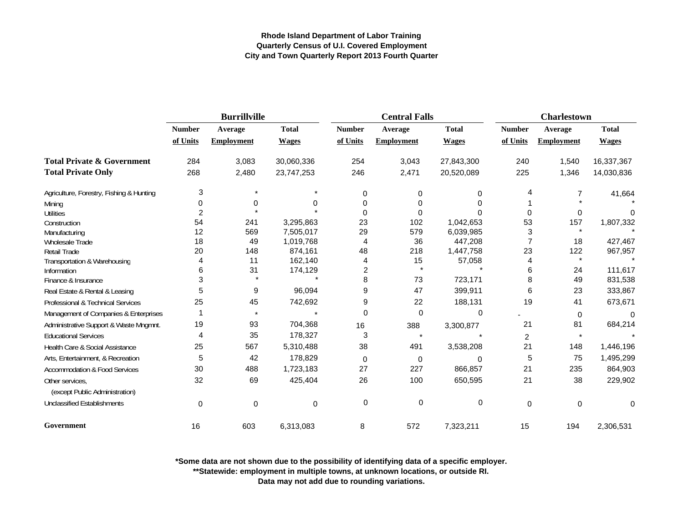|                                          |                | <b>Burrillville</b> |              |               | <b>Central Falls</b> |              | <b>Charlestown</b> |                   |                    |
|------------------------------------------|----------------|---------------------|--------------|---------------|----------------------|--------------|--------------------|-------------------|--------------------|
|                                          | <b>Number</b>  | Average             | <b>Total</b> | <b>Number</b> | Average              | <b>Total</b> | <b>Number</b>      | Average           | <b>Total</b>       |
|                                          | of Units       | <b>Employment</b>   | <b>Wages</b> | of Units      | <b>Employment</b>    | <b>Wages</b> | of Units           | <b>Employment</b> | <b>Wages</b>       |
| <b>Total Private &amp; Government</b>    | 284            | 3,083               | 30,060,336   | 254           | 3,043                | 27,843,300   | 240                | 1,540             | 16,337,367         |
| <b>Total Private Only</b>                | 268            | 2,480               | 23,747,253   | 246           | 2,471                | 20,520,089   | 225                | 1,346             | 14,030,836         |
| Agriculture, Forestry, Fishing & Hunting | 3              |                     |              | 0             | $\Omega$             | $\Omega$     | 4                  |                   | 41,664             |
| Mining                                   | 0              | 0                   | ŋ            | 0             | 0                    | 0            |                    |                   |                    |
| <b>Utilities</b>                         | $\overline{2}$ |                     |              | 0             | 0                    |              | $\Omega$           | 0                 | 0                  |
| Construction                             | 54             | 241                 | 3,295,863    | 23            | 102                  | 1,042,653    | 53                 | 157               | 1,807,332          |
| Manufacturing                            | 12             | 569                 | 7,505,017    | 29            | 579                  | 6,039,985    | 3                  |                   |                    |
| Wholesale Trade                          | 18             | 49                  | 1,019,768    | 4             | 36                   | 447,208      |                    | 18                | 427,467            |
| <b>Retail Trade</b>                      | 20             | 148                 | 874,161      | 48            | 218                  | 1,447,758    | 23                 | 122               | 967,957            |
| Transportation & Warehousing             |                | 11                  | 162,140      | 4             | 15<br>$\star$        | 57,058       | 4                  |                   |                    |
| Information<br>Finance & Insurance       | 6<br>3         | 31                  | 174,129      | 2<br>8        | 73                   | 723,171      | 6<br>8             | 24<br>49          | 111,617<br>831,538 |
|                                          |                |                     |              |               |                      |              |                    |                   |                    |
| Real Estate & Rental & Leasing           | 5              | 9                   | 96,094       | 9             | 47                   | 399,911      | 6                  | 23                | 333,867            |
| Professional & Technical Services        | 25             | 45                  | 742,692      | 9             | 22                   | 188,131      | 19                 | 41                | 673,671            |
| Management of Companies & Enterprises    |                |                     |              | 0             | 0                    | 0            |                    | $\mathbf 0$       | $\Omega$           |
| Administrative Support & Waste Mngmnt.   | 19             | 93                  | 704,368      | 16            | 388                  | 3,300,877    | 21                 | 81                | 684,214            |
| <b>Educational Services</b>              | 4              | 35                  | 178,327      | 3             | $\star$              |              | 2                  |                   |                    |
| Health Care & Social Assistance          | 25             | 567                 | 5,310,488    | 38            | 491                  | 3,538,208    | 21                 | 148               | 1,446,196          |
| Arts, Entertainment, & Recreation        | 5              | 42                  | 178,829      | 0             | $\Omega$             | 0            | 5                  | 75                | 1,495,299          |
| <b>Accommodation &amp; Food Services</b> | 30             | 488                 | 1,723,183    | 27            | 227                  | 866,857      | 21                 | 235               | 864,903            |
| Other services,                          | 32             | 69                  | 425,404      | 26            | 100                  | 650,595      | 21                 | 38                | 229,902            |
| (except Public Administration)           |                |                     |              |               |                      |              |                    |                   |                    |
| <b>Unclassified Establishments</b>       | $\mathbf 0$    | $\mathbf 0$         | 0            | 0             | 0                    | 0            | $\pmb{0}$          | $\mathbf 0$       | 0                  |
| Government                               | 16             | 603                 | 6,313,083    | 8             | 572                  | 7,323,211    | 15                 | 194               | 2,306,531          |

**\*Some data are not shown due to the possibility of identifying data of a specific employer.**

**\*\*Statewide: employment in multiple towns, at unknown locations, or outside RI.**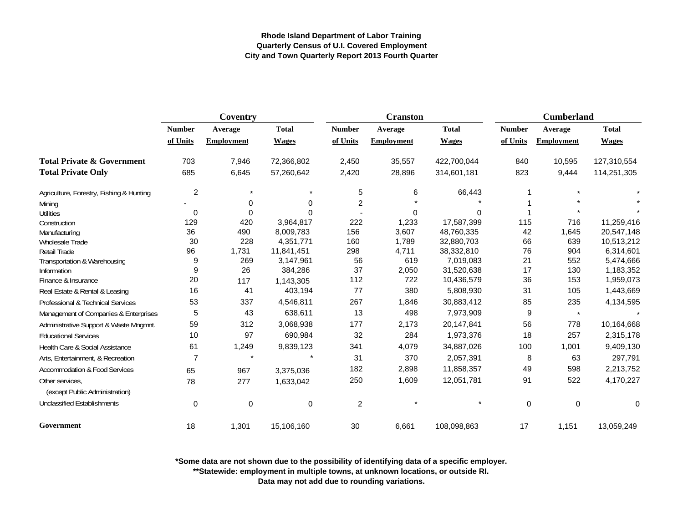|                                                   | Coventry       |                   |              |               | <b>Cranston</b>   |              | <b>Cumberland</b> |                   |              |
|---------------------------------------------------|----------------|-------------------|--------------|---------------|-------------------|--------------|-------------------|-------------------|--------------|
|                                                   | <b>Number</b>  | Average           | <b>Total</b> | <b>Number</b> | Average           | <b>Total</b> | <b>Number</b>     | Average           | <b>Total</b> |
|                                                   | of Units       | <b>Employment</b> | <b>Wages</b> | of Units      | <b>Employment</b> | <b>Wages</b> | of Units          | <b>Employment</b> | <b>Wages</b> |
| <b>Total Private &amp; Government</b>             | 703            | 7,946             | 72,366,802   | 2,450         | 35,557            | 422,700,044  | 840               | 10,595            | 127,310,554  |
| <b>Total Private Only</b>                         | 685            | 6,645             | 57,260,642   | 2,420         | 28,896            | 314,601,181  | 823               | 9,444             | 114,251,305  |
| Agriculture, Forestry, Fishing & Hunting          | $\overline{c}$ | $\star$           |              | 5             | 6                 | 66,443       |                   |                   |              |
| Mining                                            | ۰              | 0                 | $\Omega$     | 2             |                   |              |                   |                   |              |
| <b>Utilities</b>                                  | 0              | $\mathbf 0$       | $\Omega$     |               | 0                 | 0            |                   |                   |              |
| Construction                                      | 129            | 420               | 3,964,817    | 222           | 1,233             | 17,587,399   | 115               | 716               | 11,259,416   |
| Manufacturing                                     | 36             | 490               | 8,009,783    | 156           | 3,607             | 48,760,335   | 42                | 1,645             | 20,547,148   |
| <b>Wholesale Trade</b>                            | 30             | 228               | 4,351,771    | 160           | 1,789             | 32,880,703   | 66                | 639               | 10,513,212   |
| <b>Retail Trade</b>                               | 96             | 1,731             | 11,841,451   | 298           | 4,711             | 38,332,810   | 76                | 904               | 6,314,601    |
| Transportation & Warehousing                      | 9              | 269               | 3,147,961    | 56            | 619               | 7,019,083    | 21                | 552               | 5,474,666    |
| Information                                       | 9              | 26                | 384,286      | 37            | 2,050             | 31,520,638   | 17                | 130               | 1,183,352    |
| Finance & Insurance                               | 20             | 117               | 1,143,305    | 112           | 722               | 10,436,579   | 36                | 153               | 1,959,073    |
| Real Estate & Rental & Leasing                    | 16             | 41                | 403,194      | 77            | 380               | 5,808,930    | 31                | 105               | 1,443,669    |
| Professional & Technical Services                 | 53             | 337               | 4,546,811    | 267           | 1,846             | 30,883,412   | 85                | 235               | 4,134,595    |
| Management of Companies & Enterprises             | 5              | 43                | 638,611      | 13            | 498               | 7,973,909    | 9                 | $\star$           |              |
| Administrative Support & Waste Mngmnt.            | 59             | 312               | 3,068,938    | 177           | 2,173             | 20,147,841   | 56                | 778               | 10,164,668   |
| <b>Educational Services</b>                       | 10             | 97                | 690,984      | 32            | 284               | 1,973,376    | 18                | 257               | 2,315,178    |
| Health Care & Social Assistance                   | 61             | 1,249             | 9,839,123    | 341           | 4,079             | 34,887,026   | 100               | 1,001             | 9,409,130    |
| Arts, Entertainment, & Recreation                 | $\overline{7}$ | $\star$           |              | 31            | 370               | 2,057,391    | 8                 | 63                | 297,791      |
| <b>Accommodation &amp; Food Services</b>          | 65             | 967               | 3,375,036    | 182           | 2,898             | 11,858,357   | 49                | 598               | 2,213,752    |
| Other services,<br>(except Public Administration) | 78             | 277               | 1,633,042    | 250           | 1,609             | 12,051,781   | 91                | 522               | 4,170,227    |
| <b>Unclassified Establishments</b>                | $\pmb{0}$      | $\pmb{0}$         | $\mathbf 0$  | $\sqrt{2}$    |                   |              | $\pmb{0}$         | $\mathbf 0$       | 0            |
| Government                                        | 18             | 1,301             | 15,106,160   | 30            | 6,661             | 108,098,863  | 17                | 1,151             | 13,059,249   |

**\*Some data are not shown due to the possibility of identifying data of a specific employer.**

**\*\*Statewide: employment in multiple towns, at unknown locations, or outside RI.**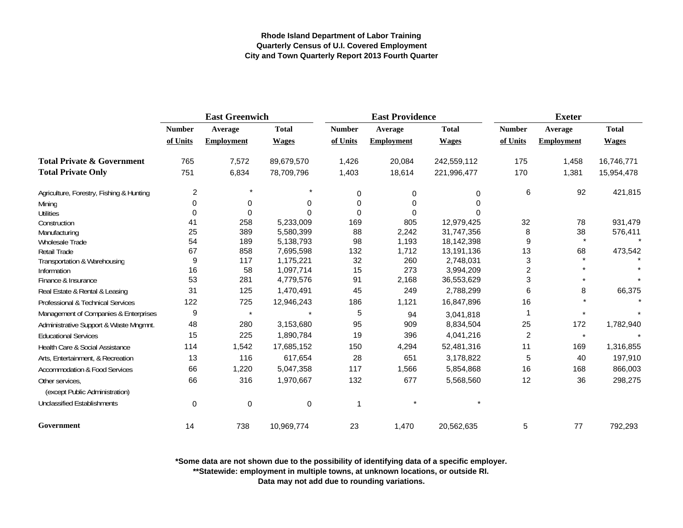|                                          | <b>East Greenwich</b> |                   |              |               | <b>East Providence</b> |              | <b>Exeter</b>  |                   |              |
|------------------------------------------|-----------------------|-------------------|--------------|---------------|------------------------|--------------|----------------|-------------------|--------------|
|                                          | <b>Number</b>         | Average           | <b>Total</b> | <b>Number</b> | Average                | <b>Total</b> | <b>Number</b>  | Average           | <b>Total</b> |
|                                          | of Units              | <b>Employment</b> | <b>Wages</b> | of Units      | <b>Employment</b>      | <b>Wages</b> | of Units       | <b>Employment</b> | <b>Wages</b> |
| <b>Total Private &amp; Government</b>    | 765                   | 7,572             | 89,679,570   | 1,426         | 20,084                 | 242,559,112  | 175            | 1,458             | 16,746,771   |
| <b>Total Private Only</b>                | 751                   | 6,834             | 78,709,796   | 1,403         | 18,614                 | 221,996,477  | 170            | 1,381             | 15,954,478   |
| Agriculture, Forestry, Fishing & Hunting | $\overline{c}$        | $\star$           |              | $\Omega$      | 0                      | 0            | 6              | 92                | 421,815      |
| Mining                                   | 0                     | 0                 | O            | $\Omega$      | 0                      |              |                |                   |              |
| <b>Utilities</b>                         | $\Omega$              | $\mathbf 0$       |              | $\Omega$      | 0                      |              |                |                   |              |
| Construction                             | 41                    | 258               | 5,233,009    | 169           | 805                    | 12,979,425   | 32             | 78                | 931,479      |
| Manufacturing                            | 25                    | 389               | 5,580,399    | 88            | 2,242                  | 31,747,356   | 8              | 38                | 576,411      |
| Wholesale Trade                          | 54                    | 189               | 5,138,793    | 98            | 1,193                  | 18,142,398   | 9              | $\star$           |              |
| <b>Retail Trade</b>                      | 67                    | 858               | 7,695,598    | 132           | 1,712                  | 13,191,136   | 13             | 68                | 473,542      |
| Transportation & Warehousing             | 9                     | 117               | 1,175,221    | 32            | 260                    | 2,748,031    | 3              |                   |              |
| Information                              | 16                    | 58                | 1,097,714    | 15            | 273                    | 3,994,209    | $\overline{2}$ |                   |              |
| Finance & Insurance                      | 53                    | 281               | 4,779,576    | 91            | 2,168                  | 36,553,629   | 3              |                   |              |
| Real Estate & Rental & Leasing           | 31                    | 125               | 1,470,491    | 45            | 249                    | 2,788,299    | 6              | 8                 | 66,375       |
| Professional & Technical Services        | 122                   | 725               | 12,946,243   | 186           | 1,121                  | 16,847,896   | 16             |                   |              |
| Management of Companies & Enterprises    | 9                     | $\star$           |              | 5             | 94                     | 3,041,818    | 1              |                   |              |
| Administrative Support & Waste Mngmnt.   | 48                    | 280               | 3,153,680    | 95            | 909                    | 8,834,504    | 25             | 172               | 1,782,940    |
| <b>Educational Services</b>              | 15                    | 225               | 1,890,784    | 19            | 396                    | 4,041,216    | 2              | $\star$           |              |
| Health Care & Social Assistance          | 114                   | 1,542             | 17,685,152   | 150           | 4,294                  | 52,481,316   | 11             | 169               | 1,316,855    |
| Arts, Entertainment, & Recreation        | 13                    | 116               | 617,654      | 28            | 651                    | 3,178,822    | 5              | 40                | 197,910      |
| <b>Accommodation &amp; Food Services</b> | 66                    | 1,220             | 5,047,358    | 117           | 1,566                  | 5,854,868    | 16             | 168               | 866,003      |
| Other services.                          | 66                    | 316               | 1,970,667    | 132           | 677                    | 5,568,560    | 12             | 36                | 298,275      |
| (except Public Administration)           |                       |                   |              |               |                        |              |                |                   |              |
| <b>Unclassified Establishments</b>       | 0                     | 0                 | 0            | -1            |                        | $\star$      |                |                   |              |
| Government                               | 14                    | 738               | 10,969,774   | 23            | 1,470                  | 20,562,635   | 5              | 77                | 792,293      |

**\*Some data are not shown due to the possibility of identifying data of a specific employer.**

**\*\*Statewide: employment in multiple towns, at unknown locations, or outside RI.**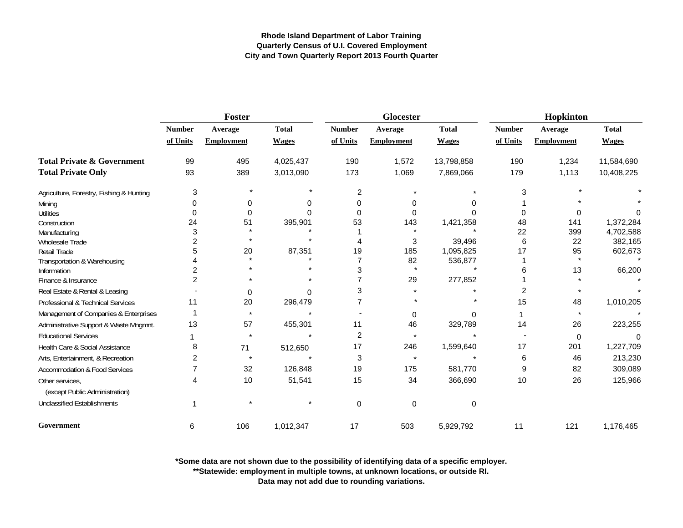|                                                   | Foster        |                   |              |                | Glocester         |              | Hopkinton      |                   |              |
|---------------------------------------------------|---------------|-------------------|--------------|----------------|-------------------|--------------|----------------|-------------------|--------------|
|                                                   | <b>Number</b> | Average           | <b>Total</b> | <b>Number</b>  | Average           | <b>Total</b> | <b>Number</b>  | Average           | <b>Total</b> |
|                                                   | of Units      | <b>Employment</b> | <b>Wages</b> | of Units       | <b>Employment</b> | <b>Wages</b> | of Units       | <b>Employment</b> | <b>Wages</b> |
| <b>Total Private &amp; Government</b>             | 99            | 495               | 4,025,437    | 190            | 1,572             | 13,798,858   | 190            | 1,234             | 11,584,690   |
| <b>Total Private Only</b>                         | 93            | 389               | 3,013,090    | 173            | 1,069             | 7,869,066    | 179            | 1,113             | 10,408,225   |
| Agriculture, Forestry, Fishing & Hunting          | 3             |                   |              | 2              |                   |              | 3              |                   |              |
| Mining                                            |               | 0                 |              | 0              | 0                 |              |                |                   |              |
| <b>Utilities</b>                                  |               | $\Omega$          |              | $\Omega$       | 0                 |              | U              |                   |              |
| Construction                                      | 24            | 51                | 395,901      | 53             | 143               | 1,421,358    | 48             | 141               | 1,372,284    |
| Manufacturing                                     | 3             |                   |              |                | $\star$           |              | 22             | 399               | 4,702,588    |
| Wholesale Trade                                   |               |                   |              |                | 3                 | 39,496       | 6              | 22                | 382,165      |
| Retail Trade                                      |               | 20                | 87,351       | 19             | 185               | 1,095,825    | 17             | 95                | 602,673      |
| Transportation & Warehousing                      |               |                   |              | $\overline{7}$ | 82                | 536,877      |                |                   |              |
| Information                                       |               |                   |              | 3              | $\star$           |              | 6              | 13                | 66,200       |
| Finance & Insurance                               | 2             |                   |              |                | 29                | 277,852      |                |                   |              |
| Real Estate & Rental & Leasing                    |               | 0                 | 0            | 3              |                   |              | $\overline{2}$ |                   |              |
| Professional & Technical Services                 | 11            | 20                | 296,479      | 7              |                   |              | 15             | 48                | 1,010,205    |
| Management of Companies & Enterprises             |               | $\star$           |              |                | 0                 |              |                |                   |              |
| Administrative Support & Waste Mngmnt.            | 13            | 57                | 455,301      | 11             | 46                | 329,789      | 14             | 26                | 223,255      |
| <b>Educational Services</b>                       |               |                   |              | $\overline{2}$ | $\star$           |              |                | 0                 | $\Omega$     |
| Health Care & Social Assistance                   | 8             | 71                | 512,650      | 17             | 246               | 1,599,640    | 17             | 201               | 1,227,709    |
| Arts, Entertainment, & Recreation                 | 2             |                   |              | 3              | $\star$           |              | 6              | 46                | 213,230      |
| <b>Accommodation &amp; Food Services</b>          |               | 32                | 126,848      | 19             | 175               | 581,770      | 9              | 82                | 309,089      |
| Other services,<br>(except Public Administration) | 4             | 10                | 51,541       | 15             | 34                | 366,690      | 10             | 26                | 125,966      |
| <b>Unclassified Establishments</b>                |               |                   |              | $\Omega$       | 0                 | 0            |                |                   |              |
| Government                                        | 6             | 106               | 1,012,347    | 17             | 503               | 5,929,792    | 11             | 121               | 1,176,465    |

**\*Some data are not shown due to the possibility of identifying data of a specific employer.**

**\*\*Statewide: employment in multiple towns, at unknown locations, or outside RI.**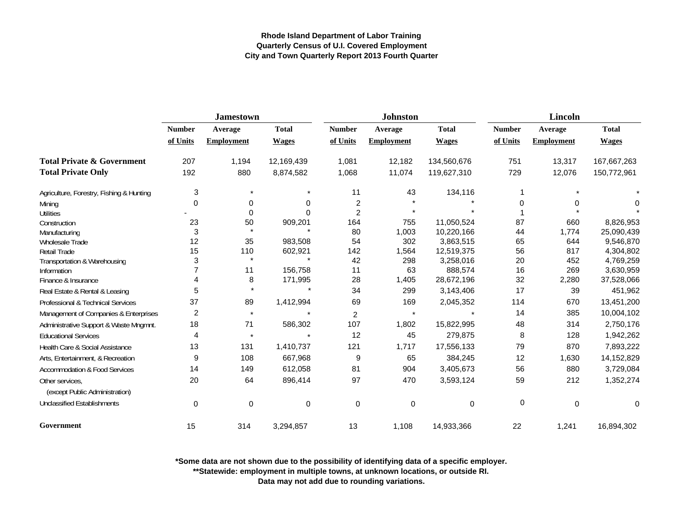|                                                   |                | <b>Jamestown</b>  |              |                | <b>Johnston</b>   |              | <b>Lincoln</b> |                   |              |
|---------------------------------------------------|----------------|-------------------|--------------|----------------|-------------------|--------------|----------------|-------------------|--------------|
|                                                   | <b>Number</b>  | Average           | <b>Total</b> | <b>Number</b>  | Average           | <b>Total</b> | <b>Number</b>  | Average           | <b>Total</b> |
|                                                   | of Units       | <b>Employment</b> | <b>Wages</b> | of Units       | <b>Employment</b> | <b>Wages</b> | of Units       | <b>Employment</b> | <b>Wages</b> |
| <b>Total Private &amp; Government</b>             | 207            | 1,194             | 12,169,439   | 1,081          | 12,182            | 134,560,676  | 751            | 13,317            | 167,667,263  |
| <b>Total Private Only</b>                         | 192            | 880               | 8,874,582    | 1,068          | 11,074            | 119,627,310  | 729            | 12,076            | 150,772,961  |
| Agriculture, Forestry, Fishing & Hunting          | 3              | $\star$           |              | 11             | 43                | 134,116      |                |                   |              |
| Mining                                            | $\Omega$       | 0                 | O            | 2              |                   |              | 0              | 0                 | 0            |
| <b>Utilities</b>                                  |                | 0                 |              | $\overline{2}$ | $\star$           |              |                |                   |              |
| Construction                                      | 23             | 50                | 909,201      | 164            | 755               | 11,050,524   | 87             | 660               | 8,826,953    |
| Manufacturing                                     | 3              | $\star$           |              | 80             | 1,003             | 10,220,166   | 44             | 1,774             | 25,090,439   |
| Wholesale Trade                                   | 12             | 35                | 983,508      | 54             | 302               | 3,863,515    | 65             | 644               | 9,546,870    |
| <b>Retail Trade</b>                               | 15             | 110<br>$\star$    | 602,921      | 142            | 1,564             | 12,519,375   | 56             | 817               | 4,304,802    |
| Transportation & Warehousing                      | 3              |                   |              | 42             | 298               | 3,258,016    | 20             | 452               | 4,769,259    |
| Information                                       |                | 11                | 156,758      | 11             | 63                | 888,574      | 16             | 269               | 3,630,959    |
| Finance & Insurance                               | 4              | 8                 | 171,995      | 28             | 1,405             | 28,672,196   | 32             | 2,280             | 37,528,066   |
| Real Estate & Rental & Leasing                    | 5              | $\star$           |              | 34             | 299               | 3,143,406    | 17             | 39                | 451,962      |
| Professional & Technical Services                 | 37             | 89                | 1,412,994    | 69             | 169               | 2,045,352    | 114            | 670               | 13,451,200   |
| Management of Companies & Enterprises             | $\overline{2}$ | $\star$           |              | $\overline{2}$ | $\star$           |              | 14             | 385               | 10,004,102   |
| Administrative Support & Waste Mngmnt.            | 18             | 71                | 586,302      | 107            | 1,802             | 15,822,995   | 48             | 314               | 2,750,176    |
| <b>Educational Services</b>                       | 4              | $\star$           | $\star$      | 12             | 45                | 279,875      | 8              | 128               | 1,942,262    |
| Health Care & Social Assistance                   | 13             | 131               | 1,410,737    | 121            | 1,717             | 17,556,133   | 79             | 870               | 7,893,222    |
| Arts, Entertainment, & Recreation                 | 9              | 108               | 667,968      | 9              | 65                | 384,245      | 12             | 1,630             | 14,152,829   |
| <b>Accommodation &amp; Food Services</b>          | 14             | 149               | 612,058      | 81             | 904               | 3,405,673    | 56             | 880               | 3,729,084    |
| Other services.<br>(except Public Administration) | 20             | 64                | 896,414      | 97             | 470               | 3,593,124    | 59             | 212               | 1,352,274    |
| <b>Unclassified Establishments</b>                | $\mathbf 0$    | $\mathbf 0$       | 0            | $\mathbf 0$    | 0                 | $\Omega$     | 0              | $\Omega$          | 0            |
| Government                                        | 15             | 314               | 3,294,857    | 13             | 1,108             | 14,933,366   | 22             | 1,241             | 16,894,302   |

**\*Some data are not shown due to the possibility of identifying data of a specific employer.**

**\*\*Statewide: employment in multiple towns, at unknown locations, or outside RI.**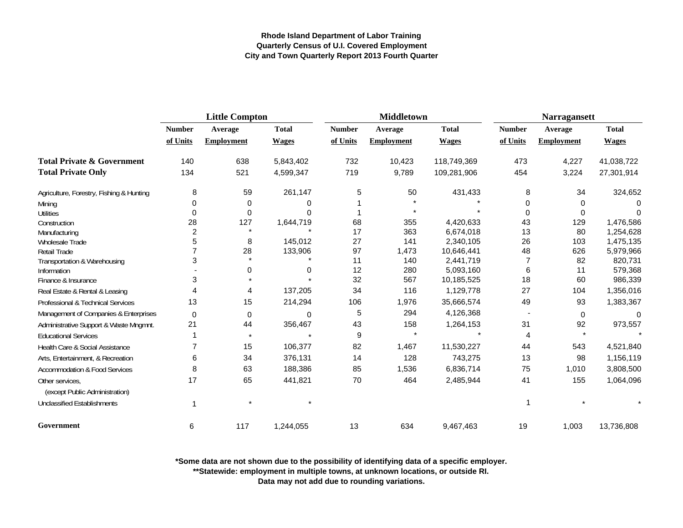|                                                   | <b>Little Compton</b> |                   |              |               | <b>Middletown</b> |              | <b>Narragansett</b> |                   |              |
|---------------------------------------------------|-----------------------|-------------------|--------------|---------------|-------------------|--------------|---------------------|-------------------|--------------|
|                                                   | <b>Number</b>         | Average           | <b>Total</b> | <b>Number</b> | Average           | <b>Total</b> | <b>Number</b>       | Average           | <b>Total</b> |
|                                                   | of Units              | <b>Employment</b> | <b>Wages</b> | of Units      | <b>Employment</b> | <b>Wages</b> | of Units            | <b>Employment</b> | <b>Wages</b> |
| <b>Total Private &amp; Government</b>             | 140                   | 638               | 5,843,402    | 732           | 10,423            | 118,749,369  | 473                 | 4,227             | 41,038,722   |
| <b>Total Private Only</b>                         | 134                   | 521               | 4,599,347    | 719           | 9,789             | 109,281,906  | 454                 | 3,224             | 27,301,914   |
| Agriculture, Forestry, Fishing & Hunting          | 8                     | 59                | 261,147      | 5             | 50                | 431,433      | 8                   | 34                | 324,652      |
| Mining                                            | 0                     | 0                 | 0            |               |                   |              | 0                   | $\Omega$          | $\Omega$     |
| <b>Utilities</b>                                  | 0                     | 0                 |              |               |                   |              | $\Omega$            | 0                 | $\Omega$     |
| Construction                                      | 28                    | 127               | 1,644,719    | 68            | 355               | 4,420,633    | 43                  | 129               | 1,476,586    |
| Manufacturing                                     | $\overline{c}$        | $\star$           |              | 17            | 363               | 6,674,018    | 13                  | 80                | 1,254,628    |
| Wholesale Trade                                   | 5                     | 8                 | 145,012      | 27            | 141               | 2,340,105    | 26                  | 103               | 1,475,135    |
| <b>Retail Trade</b>                               |                       | 28                | 133,906      | 97            | 1,473             | 10,646,441   | 48                  | 626               | 5,979,966    |
| Transportation & Warehousing                      | 3                     |                   |              | 11            | 140               | 2,441,719    | 7                   | 82                | 820,731      |
| Information                                       |                       | 0                 | 0            | 12            | 280               | 5,093,160    | 6                   | 11                | 579,368      |
| Finance & Insurance                               | 3                     |                   |              | 32            | 567               | 10,185,525   | 18                  | 60                | 986,339      |
| Real Estate & Rental & Leasing                    |                       | 4                 | 137,205      | 34            | 116               | 1,129,778    | 27                  | 104               | 1,356,016    |
| Professional & Technical Services                 | 13                    | 15                | 214,294      | 106           | 1,976             | 35,666,574   | 49                  | 93                | 1,383,367    |
| Management of Companies & Enterprises             | 0                     | $\mathbf 0$       | 0            | 5             | 294               | 4,126,368    |                     | 0                 | $\Omega$     |
| Administrative Support & Waste Mngmnt.            | 21                    | 44                | 356,467      | 43            | 158               | 1,264,153    | 31                  | 92                | 973,557      |
| <b>Educational Services</b>                       |                       | $\star$           |              | 9             |                   |              | 4                   |                   |              |
| Health Care & Social Assistance                   |                       | 15                | 106,377      | 82            | 1,467             | 11,530,227   | 44                  | 543               | 4,521,840    |
| Arts, Entertainment, & Recreation                 | 6                     | 34                | 376,131      | 14            | 128               | 743,275      | 13                  | 98                | 1,156,119    |
| <b>Accommodation &amp; Food Services</b>          | 8                     | 63                | 188,386      | 85            | 1,536             | 6,836,714    | 75                  | 1,010             | 3,808,500    |
| Other services.<br>(except Public Administration) | 17                    | 65                | 441,821      | 70            | 464               | 2,485,944    | 41                  | 155               | 1,064,096    |
| <b>Unclassified Establishments</b>                |                       |                   |              |               |                   |              | 1                   |                   |              |
| Government                                        | 6                     | 117               | 1,244,055    | 13            | 634               | 9,467,463    | 19                  | 1,003             | 13,736,808   |

**\*Some data are not shown due to the possibility of identifying data of a specific employer.**

**\*\*Statewide: employment in multiple towns, at unknown locations, or outside RI.**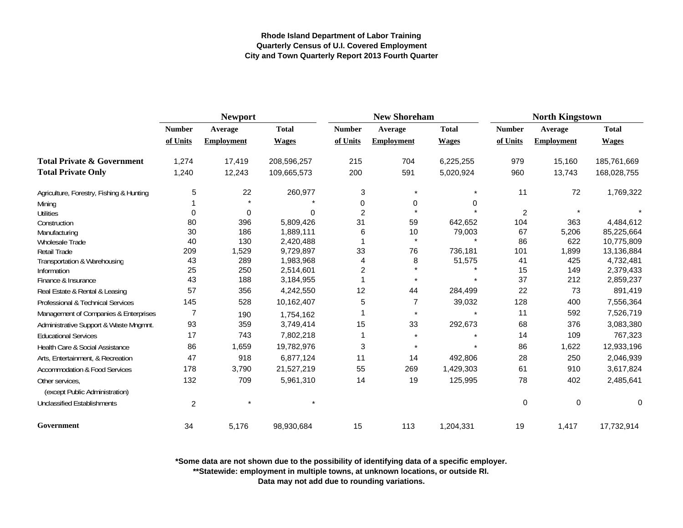|                                          |                | <b>Newport</b>    |              |                | <b>New Shoreham</b> |              | <b>North Kingstown</b> |                   |              |
|------------------------------------------|----------------|-------------------|--------------|----------------|---------------------|--------------|------------------------|-------------------|--------------|
|                                          | <b>Number</b>  | Average           | <b>Total</b> | <b>Number</b>  | Average             | <b>Total</b> | <b>Number</b>          | Average           | <b>Total</b> |
|                                          | of Units       | <b>Employment</b> | <b>Wages</b> | of Units       | <b>Employment</b>   | <b>Wages</b> | of Units               | <b>Employment</b> | <b>Wages</b> |
| <b>Total Private &amp; Government</b>    | 1,274          | 17,419            | 208,596,257  | 215            | 704                 | 6,225,255    | 979                    | 15,160            | 185,761,669  |
| <b>Total Private Only</b>                | 1,240          | 12,243            | 109,665,573  | 200            | 591                 | 5,020,924    | 960                    | 13,743            | 168,028,755  |
| Agriculture, Forestry, Fishing & Hunting | 5              | 22                | 260,977      | 3              | $\star$             | $\star$      | 11                     | 72                | 1,769,322    |
| Mining                                   |                |                   |              | 0              | 0                   | 0            |                        |                   |              |
| <b>Utilities</b>                         | $\Omega$       | 0                 | 0            | $\overline{c}$ | $\star$             |              | $\overline{2}$         | $\star$           |              |
| Construction                             | 80             | 396               | 5,809,426    | 31             | 59                  | 642,652      | 104                    | 363               | 4,484,612    |
| Manufacturing                            | 30             | 186               | 1,889,111    | 6              | 10                  | 79,003       | 67                     | 5,206             | 85,225,664   |
| Wholesale Trade                          | 40             | 130               | 2,420,488    |                | $\star$             | $\star$      | 86                     | 622               | 10,775,809   |
| Retail Trade                             | 209            | 1,529             | 9,729,897    | 33             | 76                  | 736,181      | 101                    | 1,899             | 13,136,884   |
| Transportation & Warehousing             | 43             | 289               | 1,983,968    | $\overline{4}$ | 8                   | 51,575       | 41                     | 425               | 4,732,481    |
| Information                              | 25             | 250               | 2,514,601    | $\overline{c}$ |                     |              | 15                     | 149               | 2,379,433    |
| Finance & Insurance                      | 43             | 188               | 3,184,955    |                |                     |              | 37                     | 212               | 2,859,237    |
| Real Estate & Rental & Leasing           | 57             | 356               | 4,242,550    | 12             | 44                  | 284,499      | 22                     | 73                | 891,419      |
| Professional & Technical Services        | 145            | 528               | 10,162,407   | $\mathbf 5$    | $\overline{7}$      | 39,032       | 128                    | 400               | 7,556,364    |
| Management of Companies & Enterprises    | $\overline{7}$ | 190               | 1,754,162    |                | $\star$             | $\star$      | 11                     | 592               | 7,526,719    |
| Administrative Support & Waste Mngmnt.   | 93             | 359               | 3,749,414    | 15             | 33                  | 292,673      | 68                     | 376               | 3,083,380    |
| <b>Educational Services</b>              | 17             | 743               | 7,802,218    | 1              | $\star$             |              | 14                     | 109               | 767,323      |
| Health Care & Social Assistance          | 86             | 1,659             | 19,782,976   | 3              | $\star$             | $\star$      | 86                     | 1,622             | 12,933,196   |
| Arts, Entertainment, & Recreation        | 47             | 918               | 6,877,124    | 11             | 14                  | 492,806      | 28                     | 250               | 2,046,939    |
| <b>Accommodation &amp; Food Services</b> | 178            | 3,790             | 21,527,219   | 55             | 269                 | 1,429,303    | 61                     | 910               | 3,617,824    |
| Other services,                          | 132            | 709               | 5,961,310    | 14             | 19                  | 125,995      | 78                     | 402               | 2,485,641    |
| (except Public Administration)           |                |                   |              |                |                     |              |                        |                   |              |
| <b>Unclassified Establishments</b>       | $\overline{c}$ |                   |              |                |                     |              | 0                      | 0                 | 0            |
| Government                               | 34             | 5,176             | 98,930,684   | 15             | 113                 | 1,204,331    | 19                     | 1,417             | 17,732,914   |

**\*Some data are not shown due to the possibility of identifying data of a specific employer.**

**\*\*Statewide: employment in multiple towns, at unknown locations, or outside RI.**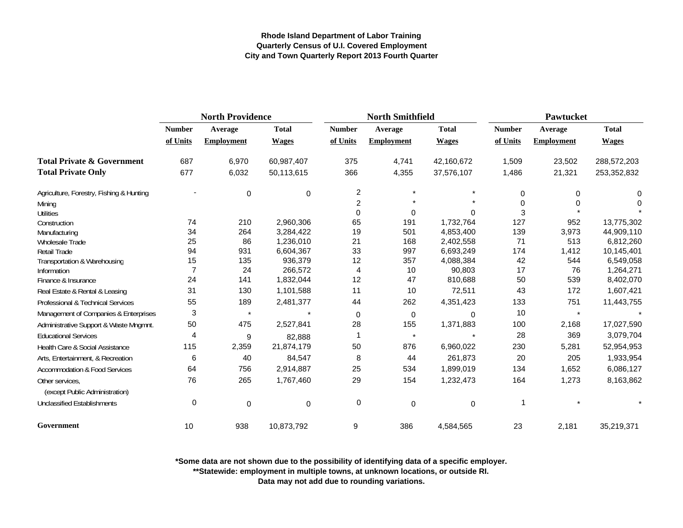|                                                   | <b>North Providence</b> |                   |              |                | <b>North Smithfield</b> |              | <b>Pawtucket</b> |                   |              |
|---------------------------------------------------|-------------------------|-------------------|--------------|----------------|-------------------------|--------------|------------------|-------------------|--------------|
|                                                   | <b>Number</b>           | Average           | <b>Total</b> | <b>Number</b>  | Average                 | <b>Total</b> | <b>Number</b>    | Average           | <b>Total</b> |
|                                                   | of Units                | <b>Employment</b> | <b>Wages</b> | of Units       | <b>Employment</b>       | <b>Wages</b> | of Units         | <b>Employment</b> | <b>Wages</b> |
| <b>Total Private &amp; Government</b>             | 687                     | 6,970             | 60,987,407   | 375            | 4,741                   | 42,160,672   | 1,509            | 23,502            | 288,572,203  |
| <b>Total Private Only</b>                         | 677                     | 6,032             | 50,113,615   | 366            | 4,355                   | 37,576,107   | 1,486            | 21,321            | 253,352,832  |
| Agriculture, Forestry, Fishing & Hunting          |                         | $\mathbf 0$       | $\Omega$     | 2              | $\star$                 |              | 0                | 0                 | 0            |
| Mining                                            |                         |                   |              | $\overline{2}$ |                         |              | 0                | O                 | 0            |
| <b>Utilities</b>                                  |                         |                   |              | $\Omega$       | 0                       | $\Omega$     | 3                |                   |              |
| Construction                                      | 74                      | 210               | 2,960,306    | 65             | 191                     | 1,732,764    | 127              | 952               | 13,775,302   |
| Manufacturing                                     | 34                      | 264               | 3,284,422    | 19             | 501                     | 4,853,400    | 139              | 3,973             | 44,909,110   |
| Wholesale Trade                                   | 25                      | 86                | 1,236,010    | 21             | 168                     | 2,402,558    | 71               | 513               | 6,812,260    |
| <b>Retail Trade</b>                               | 94                      | 931               | 6,604,367    | 33             | 997                     | 6,693,249    | 174              | 1,412             | 10,145,401   |
| Transportation & Warehousing                      | 15                      | 135               | 936,379      | 12             | 357                     | 4,088,384    | 42               | 544               | 6,549,058    |
| Information                                       | $\overline{7}$          | 24                | 266,572      | 4              | 10                      | 90,803       | 17               | 76                | 1,264,271    |
| Finance & Insurance                               | 24                      | 141               | 1,832,044    | 12             | 47                      | 810,688      | 50               | 539               | 8,402,070    |
| Real Estate & Rental & Leasing                    | 31                      | 130               | 1,101,588    | 11             | 10                      | 72,511       | 43               | 172               | 1,607,421    |
| Professional & Technical Services                 | 55                      | 189               | 2,481,377    | 44             | 262                     | 4,351,423    | 133              | 751               | 11,443,755   |
| Management of Companies & Enterprises             | 3                       | $\star$           | $\star$      | 0              | 0                       | $\Omega$     | 10               | $\star$           |              |
| Administrative Support & Waste Mngmnt.            | 50                      | 475               | 2,527,841    | 28             | 155                     | 1,371,883    | 100              | 2,168             | 17,027,590   |
| <b>Educational Services</b>                       | 4                       | 9                 | 82,888       | -1             | $\star$                 |              | 28               | 369               | 3,079,704    |
| Health Care & Social Assistance                   | 115                     | 2,359             | 21,874,179   | 50             | 876                     | 6,960,022    | 230              | 5,281             | 52,954,953   |
| Arts, Entertainment, & Recreation                 | 6                       | 40                | 84,547       | 8              | 44                      | 261,873      | 20               | 205               | 1,933,954    |
| Accommodation & Food Services                     | 64                      | 756               | 2,914,887    | 25             | 534                     | 1,899,019    | 134              | 1,652             | 6,086,127    |
| Other services.<br>(except Public Administration) | 76                      | 265               | 1,767,460    | 29             | 154                     | 1,232,473    | 164              | 1,273             | 8,163,862    |
| <b>Unclassified Establishments</b>                | 0                       | $\mathbf 0$       | $\mathbf 0$  | 0              | $\pmb{0}$               | 0            |                  |                   |              |
| Government                                        | 10                      | 938               | 10,873,792   | 9              | 386                     | 4,584,565    | 23               | 2,181             | 35,219,371   |

**\*Some data are not shown due to the possibility of identifying data of a specific employer.**

**\*\*Statewide: employment in multiple towns, at unknown locations, or outside RI.**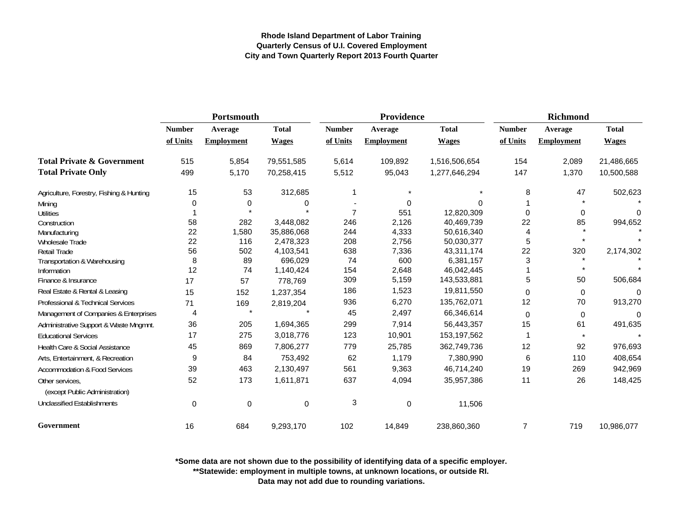|                                                   | Portsmouth    |                   |              |                | Providence        |               | <b>Richmond</b> |                   |              |
|---------------------------------------------------|---------------|-------------------|--------------|----------------|-------------------|---------------|-----------------|-------------------|--------------|
|                                                   | <b>Number</b> | Average           | <b>Total</b> | <b>Number</b>  | Average           | <b>Total</b>  | <b>Number</b>   | Average           | <b>Total</b> |
|                                                   | of Units      | <b>Employment</b> | <b>Wages</b> | of Units       | <b>Employment</b> | <b>Wages</b>  | of Units        | <b>Employment</b> | <b>Wages</b> |
| <b>Total Private &amp; Government</b>             | 515           | 5,854             | 79,551,585   | 5,614          | 109,892           | 1,516,506,654 | 154             | 2,089             | 21,486,665   |
| <b>Total Private Only</b>                         | 499           | 5,170             | 70,258,415   | 5,512          | 95,043            | 1,277,646,294 | 147             | 1,370             | 10,500,588   |
| Agriculture, Forestry, Fishing & Hunting          | 15            | 53                | 312,685      |                |                   |               | 8               | 47                | 502,623      |
| Mining                                            | 0             | 0                 | 0            |                | 0                 | $\Omega$      |                 |                   |              |
| <b>Utilities</b>                                  |               |                   |              | $\overline{7}$ | 551               | 12,820,309    | 0               | 0                 | $\Omega$     |
| Construction                                      | 58            | 282               | 3,448,082    | 246            | 2,126             | 40,469,739    | 22              | 85                | 994,652      |
| Manufacturing                                     | 22            | 1,580             | 35,886,068   | 244            | 4,333             | 50,616,340    | 4               |                   |              |
| Wholesale Trade                                   | 22            | 116               | 2,478,323    | 208            | 2,756             | 50,030,377    | 5               |                   |              |
| Retail Trade                                      | 56            | 502               | 4,103,541    | 638            | 7,336             | 43,311,174    | 22              | 320               | 2,174,302    |
| Transportation & Warehousing                      | 8             | 89                | 696,029      | 74             | 600               | 6,381,157     | 3               |                   |              |
| Information                                       | 12            | 74                | 1,140,424    | 154            | 2,648             | 46,042,445    |                 | $\star$           |              |
| Finance & Insurance                               | 17            | 57                | 778,769      | 309            | 5,159             | 143,533,881   | 5               | 50                | 506,684      |
| Real Estate & Rental & Leasing                    | 15            | 152               | 1,237,354    | 186            | 1,523             | 19,811,550    | 0               | 0                 | 0            |
| Professional & Technical Services                 | 71            | 169               | 2,819,204    | 936            | 6,270             | 135,762,071   | 12              | 70                | 913,270      |
| Management of Companies & Enterprises             | 4             |                   |              | 45             | 2,497             | 66,346,614    | 0               | 0                 | $\Omega$     |
| Administrative Support & Waste Mngmnt.            | 36            | 205               | 1,694,365    | 299            | 7,914             | 56,443,357    | 15              | 61                | 491,635      |
| <b>Educational Services</b>                       | 17            | 275               | 3,018,776    | 123            | 10,901            | 153,197,562   | 1               | $\star$           |              |
| Health Care & Social Assistance                   | 45            | 869               | 7,806,277    | 779            | 25,785            | 362,749,736   | 12              | 92                | 976,693      |
| Arts, Entertainment, & Recreation                 | 9             | 84                | 753,492      | 62             | 1,179             | 7,380,990     | 6               | 110               | 408,654      |
| <b>Accommodation &amp; Food Services</b>          | 39            | 463               | 2,130,497    | 561            | 9,363             | 46,714,240    | 19              | 269               | 942,969      |
| Other services,<br>(except Public Administration) | 52            | 173               | 1,611,871    | 637            | 4,094             | 35,957,386    | 11              | 26                | 148,425      |
| <b>Unclassified Establishments</b>                | $\mathbf 0$   | $\mathbf 0$       | $\mathbf 0$  | 3              | 0                 | 11,506        |                 |                   |              |
| Government                                        | 16            | 684               | 9,293,170    | 102            | 14,849            | 238,860,360   | 7               | 719               | 10,986,077   |

**\*Some data are not shown due to the possibility of identifying data of a specific employer.**

**\*\*Statewide: employment in multiple towns, at unknown locations, or outside RI.**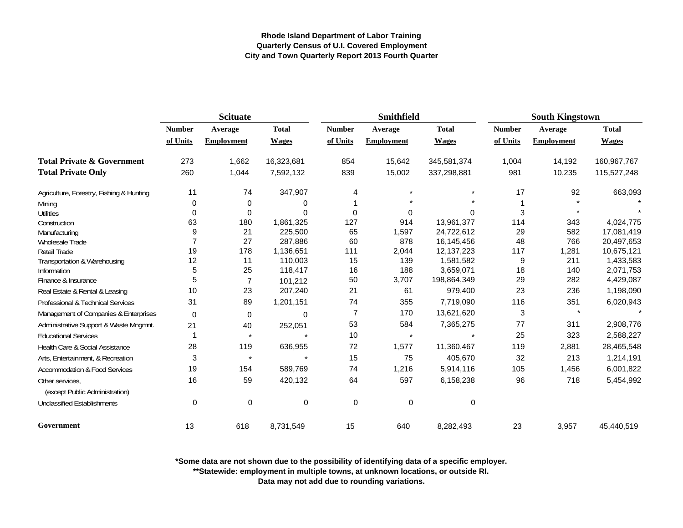|                                                   | <b>Scituate</b> |                   |              |                | <b>Smithfield</b> |              | <b>South Kingstown</b> |                   |              |
|---------------------------------------------------|-----------------|-------------------|--------------|----------------|-------------------|--------------|------------------------|-------------------|--------------|
|                                                   | <b>Number</b>   | Average           | <b>Total</b> | <b>Number</b>  | Average           | <b>Total</b> | <b>Number</b>          | Average           | <b>Total</b> |
|                                                   | of Units        | <b>Employment</b> | <b>Wages</b> | of Units       | <b>Employment</b> | <b>Wages</b> | of Units               | <b>Employment</b> | <b>Wages</b> |
| <b>Total Private &amp; Government</b>             | 273             | 1,662             | 16,323,681   | 854            | 15,642            | 345,581,374  | 1,004                  | 14,192            | 160,967,767  |
| <b>Total Private Only</b>                         | 260             | 1,044             | 7,592,132    | 839            | 15,002            | 337,298,881  | 981                    | 10,235            | 115,527,248  |
| Agriculture, Forestry, Fishing & Hunting          | 11              | 74                | 347,907      | 4              |                   |              | 17                     | 92                | 663,093      |
| Mining                                            | 0               | 0                 | 0            |                |                   |              |                        |                   |              |
| <b>Utilities</b>                                  | 0               | 0                 | $\Omega$     | $\Omega$       | 0                 | $\Omega$     | 3                      |                   |              |
| Construction                                      | 63              | 180               | 1,861,325    | 127            | 914               | 13,961,377   | 114                    | 343               | 4,024,775    |
| Manufacturing                                     | 9               | 21                | 225,500      | 65             | 1,597             | 24,722,612   | 29                     | 582               | 17,081,419   |
| Wholesale Trade                                   |                 | 27                | 287,886      | 60             | 878               | 16,145,456   | 48                     | 766               | 20,497,653   |
| Retail Trade                                      | 19              | 178               | 1,136,651    | 111            | 2,044             | 12, 137, 223 | 117                    | 1,281             | 10,675,121   |
| Transportation & Warehousing                      | 12              | 11                | 110,003      | 15             | 139               | 1,581,582    | 9                      | 211               | 1,433,583    |
| Information                                       | 5               | 25                | 118,417      | 16             | 188               | 3,659,071    | 18                     | 140               | 2,071,753    |
| Finance & Insurance                               | 5               | $\overline{7}$    | 101,212      | 50             | 3,707             | 198,864,349  | 29                     | 282               | 4,429,087    |
| Real Estate & Rental & Leasing                    | 10              | 23                | 207,240      | 21             | 61                | 979,400      | 23                     | 236               | 1,198,090    |
| Professional & Technical Services                 | 31              | 89                | 1,201,151    | 74             | 355               | 7,719,090    | 116                    | 351               | 6,020,943    |
| Management of Companies & Enterprises             | $\mathbf 0$     | $\mathbf 0$       | $\Omega$     | $\overline{7}$ | 170               | 13,621,620   | 3                      | $\star$           |              |
| Administrative Support & Waste Mngmnt.            | 21              | 40                | 252,051      | 53             | 584               | 7,365,275    | 77                     | 311               | 2,908,776    |
| <b>Educational Services</b>                       |                 | $\star$           |              | 10             | $\star$           | $\star$      | 25                     | 323               | 2,588,227    |
| Health Care & Social Assistance                   | 28              | 119               | 636,955      | 72             | 1,577             | 11,360,467   | 119                    | 2,881             | 28,465,548   |
| Arts, Entertainment, & Recreation                 | 3               | $\star$           |              | 15             | 75                | 405,670      | 32                     | 213               | 1,214,191    |
| <b>Accommodation &amp; Food Services</b>          | 19              | 154               | 589,769      | 74             | 1,216             | 5,914,116    | 105                    | 1,456             | 6,001,822    |
| Other services.<br>(except Public Administration) | 16              | 59                | 420,132      | 64             | 597               | 6,158,238    | 96                     | 718               | 5,454,992    |
| <b>Unclassified Establishments</b>                | 0               | 0                 | 0            | 0              | 0                 | 0            |                        |                   |              |
| Government                                        | 13              | 618               | 8,731,549    | 15             | 640               | 8,282,493    | 23                     | 3,957             | 45,440,519   |

**\*Some data are not shown due to the possibility of identifying data of a specific employer.**

**\*\*Statewide: employment in multiple towns, at unknown locations, or outside RI.**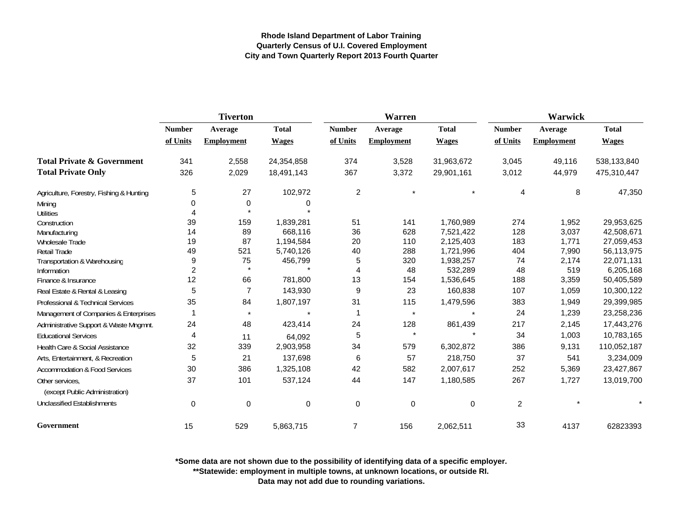|                                                   |               | <b>Tiverton</b>   |              |                | Warren            |              | <b>Warwick</b> |                   |              |  |
|---------------------------------------------------|---------------|-------------------|--------------|----------------|-------------------|--------------|----------------|-------------------|--------------|--|
|                                                   | <b>Number</b> | Average           | <b>Total</b> | <b>Number</b>  | Average           | <b>Total</b> | <b>Number</b>  | Average           | <b>Total</b> |  |
|                                                   | of Units      | <b>Employment</b> | <b>Wages</b> | of Units       | <b>Employment</b> | <b>Wages</b> | of Units       | <b>Employment</b> | <b>Wages</b> |  |
| <b>Total Private &amp; Government</b>             | 341           | 2,558             | 24,354,858   | 374            | 3,528             | 31,963,672   | 3,045          | 49,116            | 538,133,840  |  |
| <b>Total Private Only</b>                         | 326           | 2,029             | 18,491,143   | 367            | 3,372             | 29,901,161   | 3,012          | 44,979            | 475,310,447  |  |
| Agriculture, Forestry, Fishing & Hunting          | 5             | 27                | 102,972      | $\overline{c}$ | $\star$           |              | 4              | 8                 | 47,350       |  |
| Mining                                            | 0             | 0                 | 0            |                |                   |              |                |                   |              |  |
| <b>Utilities</b>                                  |               |                   |              |                |                   |              |                |                   |              |  |
| Construction                                      | 39            | 159               | 1,839,281    | 51             | 141               | 1,760,989    | 274            | 1,952             | 29,953,625   |  |
| Manufacturing                                     | 14            | 89                | 668.116      | 36             | 628               | 7,521,422    | 128            | 3,037             | 42,508,671   |  |
| <b>Wholesale Trade</b>                            | 19            | 87                | 1,194,584    | 20             | 110               | 2,125,403    | 183            | 1,771             | 27,059,453   |  |
| Retail Trade                                      | 49            | 521               | 5,740,126    | 40             | 288               | 1,721,996    | 404            | 7,990             | 56,113,975   |  |
| Transportation & Warehousing                      | 9             | 75                | 456,799      | 5              | 320               | 1,938,257    | 74             | 2,174             | 22,071,131   |  |
| Information                                       | 2             | $\star$           |              | 4              | 48                | 532,289      | 48             | 519               | 6,205,168    |  |
| Finance & Insurance                               | 12            | 66                | 781,800      | 13             | 154               | 1,536,645    | 188            | 3,359             | 50,405,589   |  |
| Real Estate & Rental & Leasing                    | 5             | $\overline{7}$    | 143,930      | 9              | 23                | 160,838      | 107            | 1,059             | 10,300,122   |  |
| Professional & Technical Services                 | 35            | 84                | 1,807,197    | 31             | 115               | 1,479,596    | 383            | 1,949             | 29,399,985   |  |
| Management of Companies & Enterprises             |               | $\star$           |              | $\mathbf 1$    | $\star$           |              | 24             | 1,239             | 23,258,236   |  |
| Administrative Support & Waste Mngmnt.            | 24            | 48                | 423,414      | 24             | 128               | 861,439      | 217            | 2,145             | 17,443,276   |  |
| <b>Educational Services</b>                       | 4             | 11                | 64,092       | 5              | $\star$           |              | 34             | 1,003             | 10,783,165   |  |
| Health Care & Social Assistance                   | 32            | 339               | 2,903,958    | 34             | 579               | 6,302,872    | 386            | 9,131             | 110,052,187  |  |
| Arts, Entertainment, & Recreation                 | 5             | 21                | 137,698      | 6              | 57                | 218,750      | 37             | 541               | 3,234,009    |  |
| <b>Accommodation &amp; Food Services</b>          | 30            | 386               | 1,325,108    | 42             | 582               | 2,007,617    | 252            | 5,369             | 23,427,867   |  |
| Other services,<br>(except Public Administration) | 37            | 101               | 537,124      | 44             | 147               | 1,180,585    | 267            | 1,727             | 13,019,700   |  |
| <b>Unclassified Establishments</b>                | $\mathbf 0$   | 0                 | 0            | 0              | 0                 | 0            | $\overline{c}$ |                   |              |  |
| Government                                        | 15            | 529               | 5,863,715    | $\overline{7}$ | 156               | 2,062,511    | 33             | 4137              | 62823393     |  |

**\*Some data are not shown due to the possibility of identifying data of a specific employer.**

**\*\*Statewide: employment in multiple towns, at unknown locations, or outside RI.**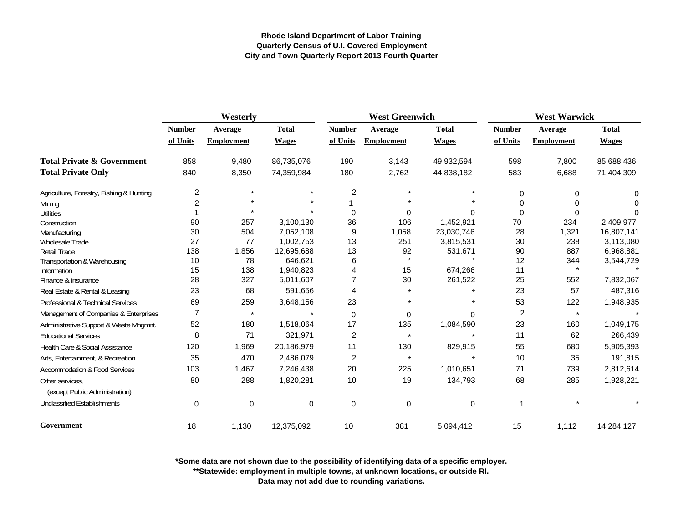|                                          | Westerly       |                   |              | <b>West Greenwich</b> |                   |              | <b>West Warwick</b>     |                   |              |
|------------------------------------------|----------------|-------------------|--------------|-----------------------|-------------------|--------------|-------------------------|-------------------|--------------|
|                                          | <b>Number</b>  | Average           | <b>Total</b> | <b>Number</b>         | Average           | <b>Total</b> | <b>Number</b>           | Average           | <b>Total</b> |
|                                          | of Units       | <b>Employment</b> | <b>Wages</b> | of Units              | <b>Employment</b> | <b>Wages</b> | of Units                | <b>Employment</b> | <b>Wages</b> |
| <b>Total Private &amp; Government</b>    | 858            | 9,480             | 86,735,076   | 190                   | 3,143             | 49,932,594   | 598                     | 7,800             | 85,688,436   |
| <b>Total Private Only</b>                | 840            | 8,350             | 74,359,984   | 180                   | 2,762             | 44,838,182   | 583                     | 6,688             | 71,404,309   |
| Agriculture, Forestry, Fishing & Hunting | 2              | $\star$           |              | $\overline{c}$        |                   |              | 0                       | 0                 | 0            |
| Mining                                   | 2              |                   |              |                       |                   |              | 0                       | 0                 |              |
| <b>Utilities</b>                         |                |                   |              | 0                     |                   |              | $\Omega$                | $\Omega$          | <sup>0</sup> |
| Construction                             | 90             | 257               | 3,100,130    | 36                    | 106               | 1,452,921    | 70                      | 234               | 2,409,977    |
| Manufacturing                            | 30             | 504               | 7,052,108    | 9                     | 1,058             | 23,030,746   | 28                      | 1,321             | 16,807,141   |
| Wholesale Trade                          | 27             | 77                | 1,002,753    | 13                    | 251               | 3,815,531    | 30                      | 238               | 3,113,080    |
| <b>Retail Trade</b>                      | 138            | 1,856             | 12,695,688   | 13                    | 92<br>$\star$     | 531,671      | 90                      | 887               | 6,968,881    |
| Transportation & Warehousing             | 10             | 78                | 646,621      | 6                     |                   |              | 12                      | 344<br>$\star$    | 3,544,729    |
| Information                              | 15             | 138               | 1,940,823    | 4                     | 15                | 674,266      | 11                      |                   |              |
| Finance & Insurance                      | 28             | 327               | 5,011,607    | $\overline{7}$        | 30                | 261,522      | 25                      | 552               | 7,832,067    |
| Real Estate & Rental & Leasing           | 23             | 68                | 591,656      | 4                     |                   |              | 23                      | 57                | 487,316      |
| Professional & Technical Services        | 69             | 259               | 3,648,156    | 23                    |                   |              | 53                      | 122               | 1,948,935    |
| Management of Companies & Enterprises    | $\overline{7}$ | $\star$           |              | 0                     | 0                 | U            | $\overline{\mathbf{c}}$ | $\star$           |              |
| Administrative Support & Waste Mngmnt.   | 52             | 180               | 1,518,064    | 17                    | 135               | 1,084,590    | 23                      | 160               | 1,049,175    |
| <b>Educational Services</b>              | 8              | 71                | 321,971      | $\overline{c}$        | $\star$           |              | 11                      | 62                | 266,439      |
| Health Care & Social Assistance          | 120            | 1,969             | 20,186,979   | 11                    | 130               | 829,915      | 55                      | 680               | 5,905,393    |
| Arts, Entertainment, & Recreation        | 35             | 470               | 2,486,079    | 2                     | $\star$           |              | 10                      | 35                | 191,815      |
| <b>Accommodation &amp; Food Services</b> | 103            | 1,467             | 7,246,438    | 20                    | 225               | 1,010,651    | 71                      | 739               | 2,812,614    |
| Other services.                          | 80             | 288               | 1,820,281    | 10                    | 19                | 134,793      | 68                      | 285               | 1,928,221    |
| (except Public Administration)           |                |                   |              |                       |                   |              |                         |                   |              |
| <b>Unclassified Establishments</b>       | 0              | $\mathbf 0$       | 0            | 0                     | 0                 | 0            |                         |                   |              |
| Government                               | 18             | 1,130             | 12,375,092   | 10                    | 381               | 5,094,412    | 15                      | 1,112             | 14,284,127   |

**\*Some data are not shown due to the possibility of identifying data of a specific employer.**

**\*\*Statewide: employment in multiple towns, at unknown locations, or outside RI.**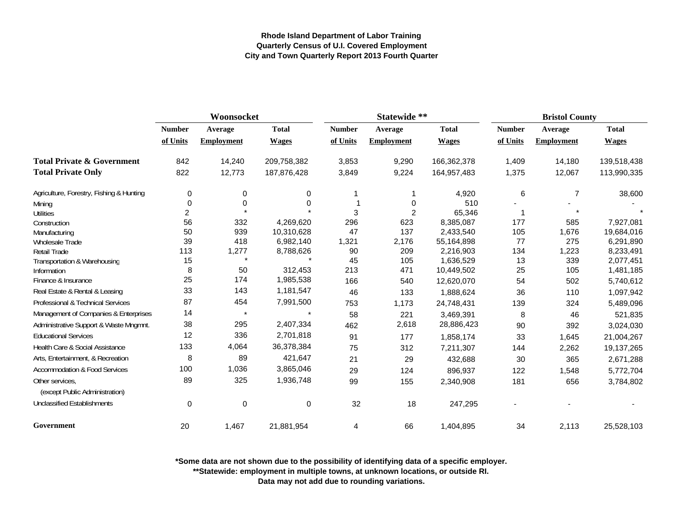|                                          | Woonsocket    |                   |              |               | Statewide **      |              |               | <b>Bristol County</b> |              |  |
|------------------------------------------|---------------|-------------------|--------------|---------------|-------------------|--------------|---------------|-----------------------|--------------|--|
|                                          | <b>Number</b> | Average           | <b>Total</b> | <b>Number</b> | Average           | <b>Total</b> | <b>Number</b> | Average               | <b>Total</b> |  |
|                                          | of Units      | <b>Employment</b> | <b>Wages</b> | of Units      | <b>Employment</b> | <b>Wages</b> | of Units      | <b>Employment</b>     | <b>Wages</b> |  |
| <b>Total Private &amp; Government</b>    | 842           | 14,240            | 209,758,382  | 3,853         | 9,290             | 166,362,378  | 1,409         | 14,180                | 139,518,438  |  |
| <b>Total Private Only</b>                | 822           | 12,773            | 187,876,428  | 3,849         | 9,224             | 164,957,483  | 1,375         | 12,067                | 113,990,335  |  |
| Agriculture, Forestry, Fishing & Hunting | 0             | 0                 | 0            |               |                   | 4,920        | 6             | $\overline{7}$        | 38,600       |  |
| Mining                                   | $\mathbf 0$   | $\Omega$          | 0            |               | 0                 | 510          |               |                       |              |  |
| <b>Utilities</b>                         | 2             |                   |              | 3             | 2                 | 65,346       |               |                       |              |  |
| Construction                             | 56            | 332               | 4,269,620    | 296           | 623               | 8,385,087    | 177           | 585                   | 7,927,081    |  |
| Manufacturing                            | 50            | 939               | 10,310,628   | 47            | 137               | 2,433,540    | 105           | 1,676                 | 19,684,016   |  |
| <b>Wholesale Trade</b>                   | 39            | 418               | 6,982,140    | 1,321         | 2,176             | 55,164,898   | 77            | 275                   | 6,291,890    |  |
| Retail Trade                             | 113           | 1,277             | 8,788,626    | 90            | 209               | 2,216,903    | 134           | 1,223                 | 8,233,491    |  |
| Transportation & Warehousing             | 15            |                   |              | 45            | 105               | 1,636,529    | 13            | 339                   | 2,077,451    |  |
| Information                              | 8             | 50                | 312,453      | 213           | 471               | 10,449,502   | 25            | 105                   | 1,481,185    |  |
| Finance & Insurance                      | 25            | 174               | 1,985,538    | 166           | 540               | 12,620,070   | 54            | 502                   | 5,740,612    |  |
| Real Estate & Rental & Leasing           | 33            | 143               | 1,181,547    | 46            | 133               | 1,888,624    | 36            | 110                   | 1,097,942    |  |
| Professional & Technical Services        | 87            | 454               | 7,991,500    | 753           | 1,173             | 24,748,431   | 139           | 324                   | 5,489,096    |  |
| Management of Companies & Enterprises    | 14            |                   |              | 58            | 221               | 3,469,391    | 8             | 46                    | 521,835      |  |
| Administrative Support & Waste Mngmnt.   | 38            | 295               | 2,407,334    | 462           | 2,618             | 28,886,423   | 90            | 392                   | 3,024,030    |  |
| <b>Educational Services</b>              | 12            | 336               | 2,701,818    | 91            | 177               | 1,858,174    | 33            | 1,645                 | 21,004,267   |  |
| Health Care & Social Assistance          | 133           | 4,064             | 36,378,384   | 75            | 312               | 7,211,307    | 144           | 2,262                 | 19,137,265   |  |
| Arts, Entertainment, & Recreation        | 8             | 89                | 421,647      | 21            | 29                | 432,688      | 30            | 365                   | 2,671,288    |  |
| Accommodation & Food Services            | 100           | 1,036             | 3,865,046    | 29            | 124               | 896,937      | 122           | 1,548                 | 5,772,704    |  |
| Other services.                          | 89            | 325               | 1,936,748    | 99            | 155               | 2,340,908    | 181           | 656                   | 3,784,802    |  |
| (except Public Administration)           |               |                   |              |               |                   |              |               |                       |              |  |
| <b>Unclassified Establishments</b>       | 0             | 0                 | 0            | 32            | 18                | 247,295      |               |                       |              |  |
| Government                               | 20            | 1,467             | 21,881,954   | 4             | 66                | 1,404,895    | 34            | 2,113                 | 25,528,103   |  |

**\*Some data are not shown due to the possibility of identifying data of a specific employer.**

**\*\*Statewide: employment in multiple towns, at unknown locations, or outside RI.**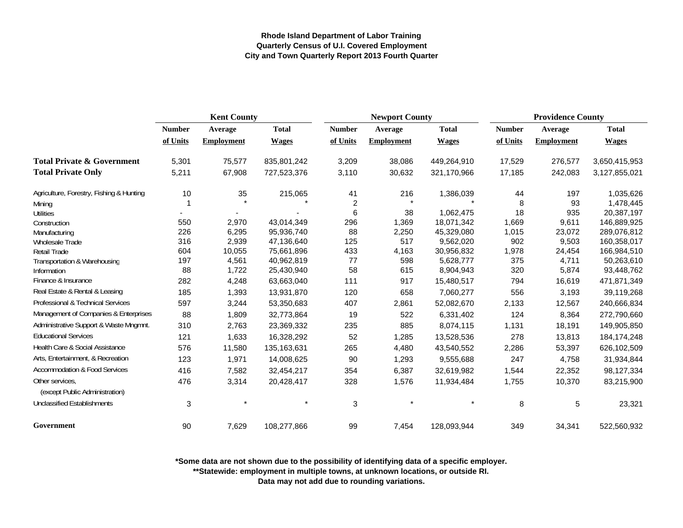|                                                   | <b>Kent County</b> |                   |              | <b>Newport County</b> |                   |              | <b>Providence County</b> |                   |               |
|---------------------------------------------------|--------------------|-------------------|--------------|-----------------------|-------------------|--------------|--------------------------|-------------------|---------------|
|                                                   | <b>Number</b>      | Average           | <b>Total</b> | <b>Number</b>         | Average           | <b>Total</b> | <b>Number</b>            | Average           | <b>Total</b>  |
|                                                   | of Units           | <b>Employment</b> | <b>Wages</b> | of Units              | <b>Employment</b> | <b>Wages</b> | of Units                 | <b>Employment</b> | <b>Wages</b>  |
| <b>Total Private &amp; Government</b>             | 5,301              | 75,577            | 835,801,242  | 3,209                 | 38,086            | 449,264,910  | 17,529                   | 276,577           | 3,650,415,953 |
| <b>Total Private Only</b>                         | 5,211              | 67,908            | 727,523,376  | 3,110                 | 30,632            | 321,170,966  | 17,185                   | 242,083           | 3,127,855,021 |
| Agriculture, Forestry, Fishing & Hunting          | 10                 | 35                | 215,065      | 41                    | 216               | 1,386,039    | 44                       | 197               | 1,035,626     |
| Mining                                            |                    |                   |              | $\overline{2}$        |                   |              | 8                        | 93                | 1,478,445     |
| <b>Utilities</b>                                  | ٠                  |                   |              | 6                     | 38                | 1,062,475    | 18                       | 935               | 20,387,197    |
| Construction                                      | 550                | 2,970             | 43,014,349   | 296                   | 1,369             | 18,071,342   | 1,669                    | 9,611             | 146,889,925   |
| Manufacturing                                     | 226                | 6,295             | 95,936,740   | 88                    | 2,250             | 45,329,080   | 1,015                    | 23,072            | 289,076,812   |
| <b>Wholesale Trade</b>                            | 316                | 2,939             | 47,136,640   | 125                   | 517               | 9,562,020    | 902                      | 9,503             | 160,358,017   |
| <b>Retail Trade</b>                               | 604                | 10,055            | 75,661,896   | 433                   | 4,163             | 30,956,832   | 1,978                    | 24,454            | 166,984,510   |
| Transportation & Warehousing                      | 197                | 4,561             | 40,962,819   | 77                    | 598               | 5,628,777    | 375                      | 4,711             | 50,263,610    |
| Information                                       | 88                 | 1,722             | 25,430,940   | 58                    | 615               | 8,904,943    | 320                      | 5,874             | 93,448,762    |
| Finance & Insurance                               | 282                | 4,248             | 63,663,040   | 111                   | 917               | 15,480,517   | 794                      | 16,619            | 471,871,349   |
| Real Estate & Rental & Leasing                    | 185                | 1,393             | 13,931,870   | 120                   | 658               | 7,060,277    | 556                      | 3,193             | 39,119,268    |
| Professional & Technical Services                 | 597                | 3,244             | 53,350,683   | 407                   | 2,861             | 52,082,670   | 2,133                    | 12,567            | 240,666,834   |
| Management of Companies & Enterprises             | 88                 | 1,809             | 32,773,864   | 19                    | 522               | 6,331,402    | 124                      | 8,364             | 272,790,660   |
| Administrative Support & Waste Mngmnt.            | 310                | 2,763             | 23,369,332   | 235                   | 885               | 8,074,115    | 1,131                    | 18,191            | 149,905,850   |
| <b>Educational Services</b>                       | 121                | 1,633             | 16,328,292   | 52                    | 1,285             | 13,528,536   | 278                      | 13,813            | 184, 174, 248 |
| Health Care & Social Assistance                   | 576                | 11,580            | 135,163,631  | 265                   | 4,480             | 43,540,552   | 2,286                    | 53,397            | 626,102,509   |
| Arts, Entertainment, & Recreation                 | 123                | 1,971             | 14,008,625   | 90                    | 1,293             | 9,555,688    | 247                      | 4,758             | 31,934,844    |
| Accommodation & Food Services                     | 416                | 7,582             | 32,454,217   | 354                   | 6,387             | 32,619,982   | 1,544                    | 22,352            | 98,127,334    |
| Other services,<br>(except Public Administration) | 476                | 3,314             | 20,428,417   | 328                   | 1,576             | 11,934,484   | 1,755                    | 10,370            | 83,215,900    |
| <b>Unclassified Establishments</b>                | 3                  |                   |              | 3                     |                   |              | 8                        | 5                 | 23,321        |
| Government                                        | 90                 | 7,629             | 108,277,866  | 99                    | 7,454             | 128,093,944  | 349                      | 34,341            | 522,560,932   |

**\*Some data are not shown due to the possibility of identifying data of a specific employer.**

**\*\*Statewide: employment in multiple towns, at unknown locations, or outside RI.**